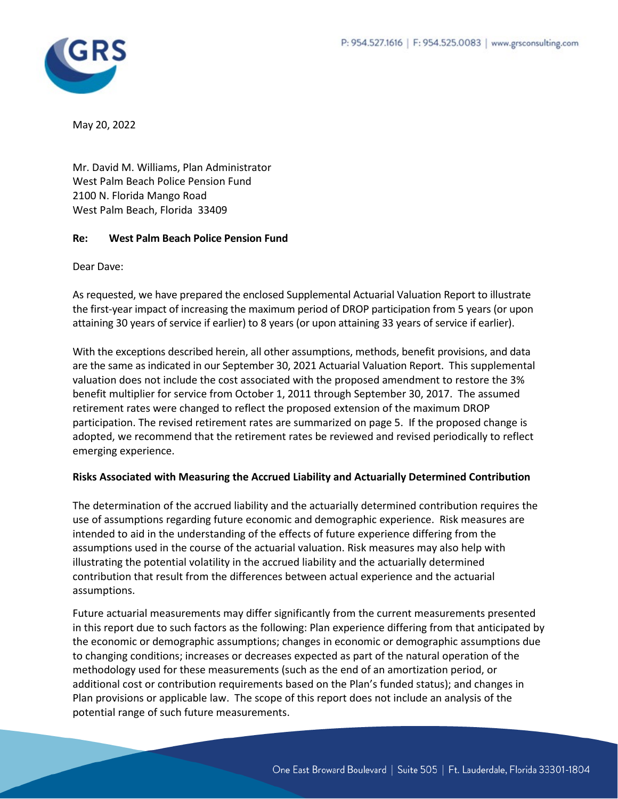

May 20, 2022

Mr. David M. Williams, Plan Administrator West Palm Beach Police Pension Fund 2100 N. Florida Mango Road West Palm Beach, Florida 33409

#### **Re: West Palm Beach Police Pension Fund**

Dear Dave:

As requested, we have prepared the enclosed Supplemental Actuarial Valuation Report to illustrate the first-year impact of increasing the maximum period of DROP participation from 5 years (or upon attaining 30 years of service if earlier) to 8 years (or upon attaining 33 years of service if earlier).

With the exceptions described herein, all other assumptions, methods, benefit provisions, and data are the same as indicated in our September 30, 2021 Actuarial Valuation Report. This supplemental valuation does not include the cost associated with the proposed amendment to restore the 3% benefit multiplier for service from October 1, 2011 through September 30, 2017. The assumed retirement rates were changed to reflect the proposed extension of the maximum DROP participation. The revised retirement rates are summarized on page 5. If the proposed change is adopted, we recommend that the retirement rates be reviewed and revised periodically to reflect emerging experience.

#### **Risks Associated with Measuring the Accrued Liability and Actuarially Determined Contribution**

The determination of the accrued liability and the actuarially determined contribution requires the use of assumptions regarding future economic and demographic experience. Risk measures are intended to aid in the understanding of the effects of future experience differing from the assumptions used in the course of the actuarial valuation. Risk measures may also help with illustrating the potential volatility in the accrued liability and the actuarially determined contribution that result from the differences between actual experience and the actuarial assumptions.

Future actuarial measurements may differ significantly from the current measurements presented in this report due to such factors as the following: Plan experience differing from that anticipated by the economic or demographic assumptions; changes in economic or demographic assumptions due to changing conditions; increases or decreases expected as part of the natural operation of the methodology used for these measurements (such as the end of an amortization period, or additional cost or contribution requirements based on the Plan's funded status); and changes in Plan provisions or applicable law. The scope of this report does not include an analysis of the potential range of such future measurements.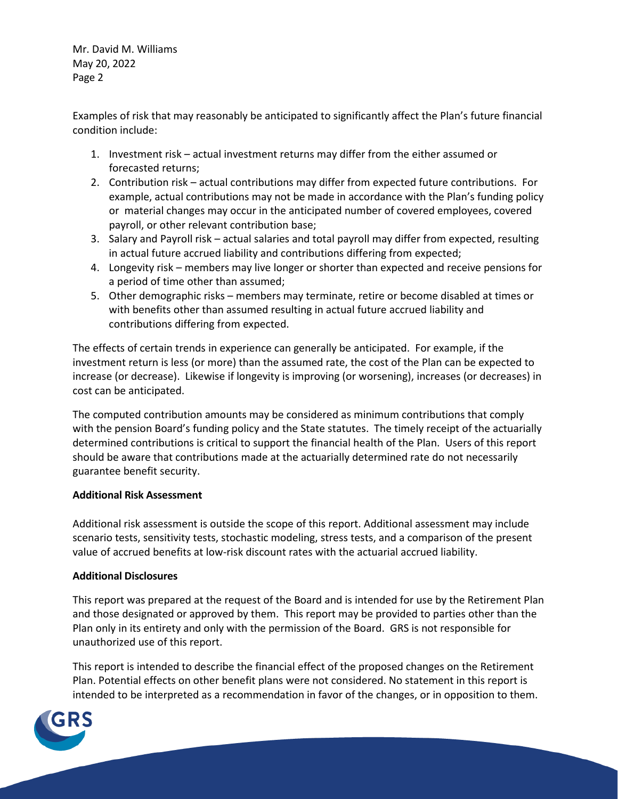Mr. David M. Williams May 20, 2022 Page 2

Examples of risk that may reasonably be anticipated to significantly affect the Plan's future financial condition include:

- 1. Investment risk actual investment returns may differ from the either assumed or forecasted returns;
- 2. Contribution risk actual contributions may differ from expected future contributions. For example, actual contributions may not be made in accordance with the Plan's funding policy or material changes may occur in the anticipated number of covered employees, covered payroll, or other relevant contribution base;
- 3. Salary and Payroll risk actual salaries and total payroll may differ from expected, resulting in actual future accrued liability and contributions differing from expected;
- 4. Longevity risk members may live longer or shorter than expected and receive pensions for a period of time other than assumed;
- 5. Other demographic risks members may terminate, retire or become disabled at times or with benefits other than assumed resulting in actual future accrued liability and contributions differing from expected.

The effects of certain trends in experience can generally be anticipated. For example, if the investment return is less (or more) than the assumed rate, the cost of the Plan can be expected to increase (or decrease). Likewise if longevity is improving (or worsening), increases (or decreases) in cost can be anticipated.

The computed contribution amounts may be considered as minimum contributions that comply with the pension Board's funding policy and the State statutes. The timely receipt of the actuarially determined contributions is critical to support the financial health of the Plan. Users of this report should be aware that contributions made at the actuarially determined rate do not necessarily guarantee benefit security.

#### **Additional Risk Assessment**

Additional risk assessment is outside the scope of this report. Additional assessment may include scenario tests, sensitivity tests, stochastic modeling, stress tests, and a comparison of the present value of accrued benefits at low-risk discount rates with the actuarial accrued liability.

#### **Additional Disclosures**

This report was prepared at the request of the Board and is intended for use by the Retirement Plan and those designated or approved by them. This report may be provided to parties other than the Plan only in its entirety and only with the permission of the Board. GRS is not responsible for unauthorized use of this report.

This report is intended to describe the financial effect of the proposed changes on the Retirement Plan. Potential effects on other benefit plans were not considered. No statement in this report is intended to be interpreted as a recommendation in favor of the changes, or in opposition to them.

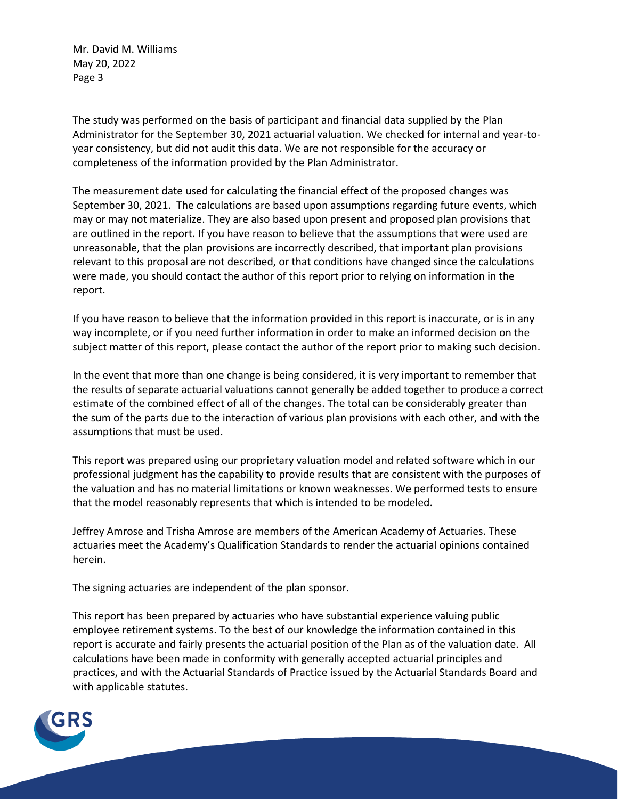Mr. David M. Williams May 20, 2022 Page 3

The study was performed on the basis of participant and financial data supplied by the Plan Administrator for the September 30, 2021 actuarial valuation. We checked for internal and year-toyear consistency, but did not audit this data. We are not responsible for the accuracy or completeness of the information provided by the Plan Administrator.

The measurement date used for calculating the financial effect of the proposed changes was September 30, 2021. The calculations are based upon assumptions regarding future events, which may or may not materialize. They are also based upon present and proposed plan provisions that are outlined in the report. If you have reason to believe that the assumptions that were used are unreasonable, that the plan provisions are incorrectly described, that important plan provisions relevant to this proposal are not described, or that conditions have changed since the calculations were made, you should contact the author of this report prior to relying on information in the report.

If you have reason to believe that the information provided in this report is inaccurate, or is in any way incomplete, or if you need further information in order to make an informed decision on the subject matter of this report, please contact the author of the report prior to making such decision.

In the event that more than one change is being considered, it is very important to remember that the results of separate actuarial valuations cannot generally be added together to produce a correct estimate of the combined effect of all of the changes. The total can be considerably greater than the sum of the parts due to the interaction of various plan provisions with each other, and with the assumptions that must be used.

This report was prepared using our proprietary valuation model and related software which in our professional judgment has the capability to provide results that are consistent with the purposes of the valuation and has no material limitations or known weaknesses. We performed tests to ensure that the model reasonably represents that which is intended to be modeled.

Jeffrey Amrose and Trisha Amrose are members of the American Academy of Actuaries. These actuaries meet the Academy's Qualification Standards to render the actuarial opinions contained herein.

The signing actuaries are independent of the plan sponsor.

This report has been prepared by actuaries who have substantial experience valuing public employee retirement systems. To the best of our knowledge the information contained in this report is accurate and fairly presents the actuarial position of the Plan as of the valuation date. All calculations have been made in conformity with generally accepted actuarial principles and practices, and with the Actuarial Standards of Practice issued by the Actuarial Standards Board and with applicable statutes.

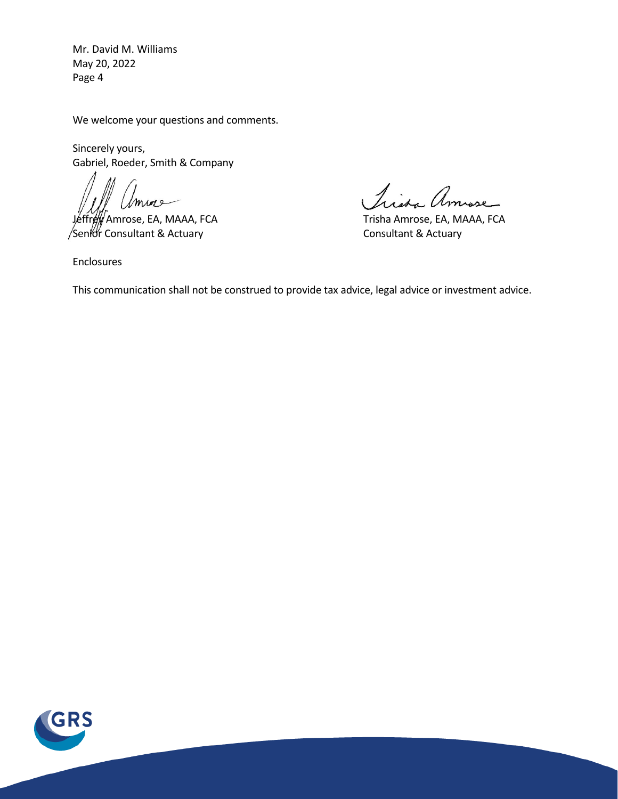Mr. David M. Williams May 20, 2022 Page 4

We welcome your questions and comments.

Sincerely yours, Gabriel, Roeder, Smith & Company

mure

/Senior Consultant & Actuary Consultant & Actuary

Lissa Amose

Jeffrey Amrose, EA, MAAA, FCA Trisha Amrose, EA, MAAA, FCA

Enclosures

This communication shall not be construed to provide tax advice, legal advice or investment advice.

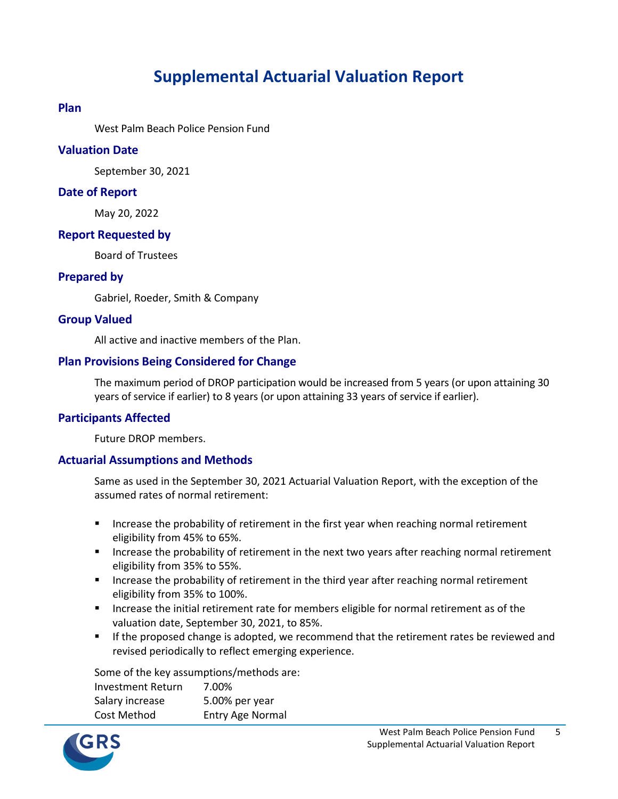# **Supplemental Actuarial Valuation Report**

#### **Plan**

West Palm Beach Police Pension Fund

#### **Valuation Date**

September 30, 2021

#### **Date of Report**

May 20, 2022

#### **Report Requested by**

Board of Trustees

#### **Prepared by**

Gabriel, Roeder, Smith & Company

#### **Group Valued**

All active and inactive members of the Plan.

#### **Plan Provisions Being Considered for Change**

The maximum period of DROP participation would be increased from 5 years (or upon attaining 30 years of service if earlier) to 8 years (or upon attaining 33 years of service if earlier).

### **Participants Affected**

Future DROP members.

### **Actuarial Assumptions and Methods**

Same as used in the September 30, 2021 Actuarial Valuation Report, with the exception of the assumed rates of normal retirement:

- Increase the probability of retirement in the first year when reaching normal retirement eligibility from 45% to 65%.
- **Increase the probability of retirement in the next two years after reaching normal retirement** eligibility from 35% to 55%.
- **Increase the probability of retirement in the third year after reaching normal retirement** eligibility from 35% to 100%.
- **Increase the initial retirement rate for members eligible for normal retirement as of the** valuation date, September 30, 2021, to 85%.
- If the proposed change is adopted, we recommend that the retirement rates be reviewed and revised periodically to reflect emerging experience.

Some of the key assumptions/methods are:

| <b>Investment Return</b> | 7.00%            |
|--------------------------|------------------|
| Salary increase          | 5.00% per year   |
| Cost Method              | Entry Age Normal |

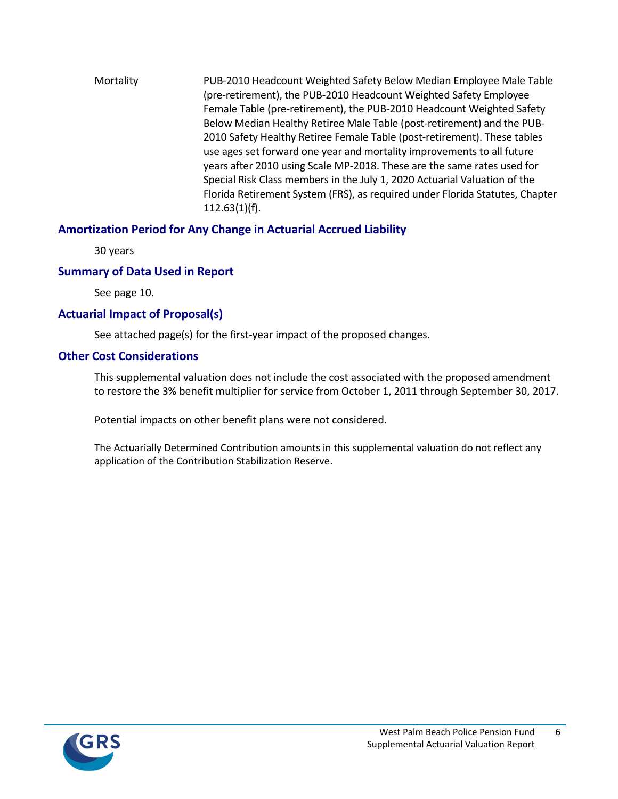Mortality PUB-2010 Headcount Weighted Safety Below Median Employee Male Table (pre-retirement), the PUB-2010 Headcount Weighted Safety Employee Female Table (pre-retirement), the PUB-2010 Headcount Weighted Safety Below Median Healthy Retiree Male Table (post-retirement) and the PUB-2010 Safety Healthy Retiree Female Table (post-retirement). These tables use ages set forward one year and mortality improvements to all future years after 2010 using Scale MP-2018. These are the same rates used for Special Risk Class members in the July 1, 2020 Actuarial Valuation of the Florida Retirement System (FRS), as required under Florida Statutes, Chapter 112.63(1)(f).

## **Amortization Period for Any Change in Actuarial Accrued Liability**

30 years

## **Summary of Data Used in Report**

See page 10.

## **Actuarial Impact of Proposal(s)**

See attached page(s) for the first-year impact of the proposed changes.

## **Other Cost Considerations**

This supplemental valuation does not include the cost associated with the proposed amendment to restore the 3% benefit multiplier for service from October 1, 2011 through September 30, 2017.

Potential impacts on other benefit plans were not considered.

The Actuarially Determined Contribution amounts in this supplemental valuation do not reflect any application of the Contribution Stabilization Reserve.

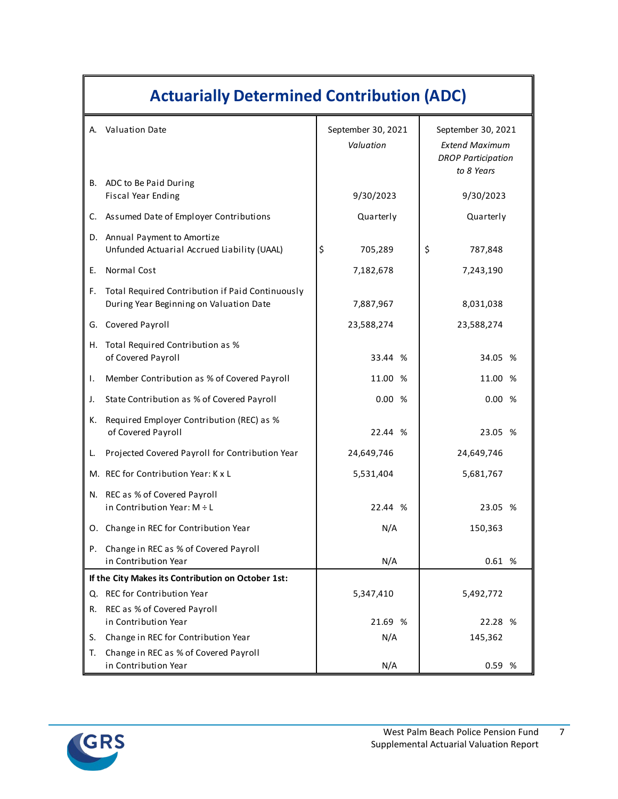| <b>Actuarially Determined Contribution (ADC)</b> |                                                                                             |                                 |                                                                                        |  |  |
|--------------------------------------------------|---------------------------------------------------------------------------------------------|---------------------------------|----------------------------------------------------------------------------------------|--|--|
|                                                  | A. Valuation Date                                                                           | September 30, 2021<br>Valuation | September 30, 2021<br><b>Extend Maximum</b><br><b>DROP Participation</b><br>to 8 Years |  |  |
| В.                                               | ADC to Be Paid During<br>Fiscal Year Ending                                                 | 9/30/2023                       | 9/30/2023                                                                              |  |  |
| C.                                               | Assumed Date of Employer Contributions                                                      | Quarterly                       | Quarterly                                                                              |  |  |
|                                                  | D. Annual Payment to Amortize<br>Unfunded Actuarial Accrued Liability (UAAL)                | \$<br>705,289                   | \$<br>787,848                                                                          |  |  |
| Е.                                               | Normal Cost                                                                                 | 7,182,678                       | 7,243,190                                                                              |  |  |
| F.                                               | Total Required Contribution if Paid Continuously<br>During Year Beginning on Valuation Date | 7,887,967                       | 8,031,038                                                                              |  |  |
| G.                                               | Covered Payroll                                                                             | 23,588,274                      | 23,588,274                                                                             |  |  |
| Н.                                               | Total Required Contribution as %<br>of Covered Payroll                                      | 33.44 %                         | 34.05 %                                                                                |  |  |
| Τ.                                               | Member Contribution as % of Covered Payroll                                                 | 11.00 %                         | 11.00 %                                                                                |  |  |
| J.                                               | State Contribution as % of Covered Payroll                                                  | 0.00%                           | 0.00%                                                                                  |  |  |
| к.                                               | Required Employer Contribution (REC) as %<br>of Covered Payroll                             | 22.44 %                         | 23.05 %                                                                                |  |  |
| L.                                               | Projected Covered Payroll for Contribution Year                                             | 24,649,746                      | 24,649,746                                                                             |  |  |
|                                                  | M. REC for Contribution Year: K x L                                                         | 5,531,404                       | 5,681,767                                                                              |  |  |
| N.                                               | REC as % of Covered Payroll<br>in Contribution Year: $M \div L$                             | 22.44 %                         | 23.05 %                                                                                |  |  |
|                                                  | O. Change in REC for Contribution Year                                                      | N/A                             | 150,363                                                                                |  |  |
| Р.                                               | Change in REC as % of Covered Payroll<br>in Contribution Year                               | N/A                             | 0.61%                                                                                  |  |  |
|                                                  | If the City Makes its Contribution on October 1st:                                          |                                 |                                                                                        |  |  |
|                                                  | Q. REC for Contribution Year                                                                | 5,347,410                       | 5,492,772                                                                              |  |  |
| R.                                               | REC as % of Covered Payroll<br>in Contribution Year                                         | 21.69 %                         | 22.28 %                                                                                |  |  |
| S.                                               | Change in REC for Contribution Year                                                         | N/A                             | 145,362                                                                                |  |  |
| Т.                                               | Change in REC as % of Covered Payroll<br>in Contribution Year                               | N/A                             | 0.59 %                                                                                 |  |  |

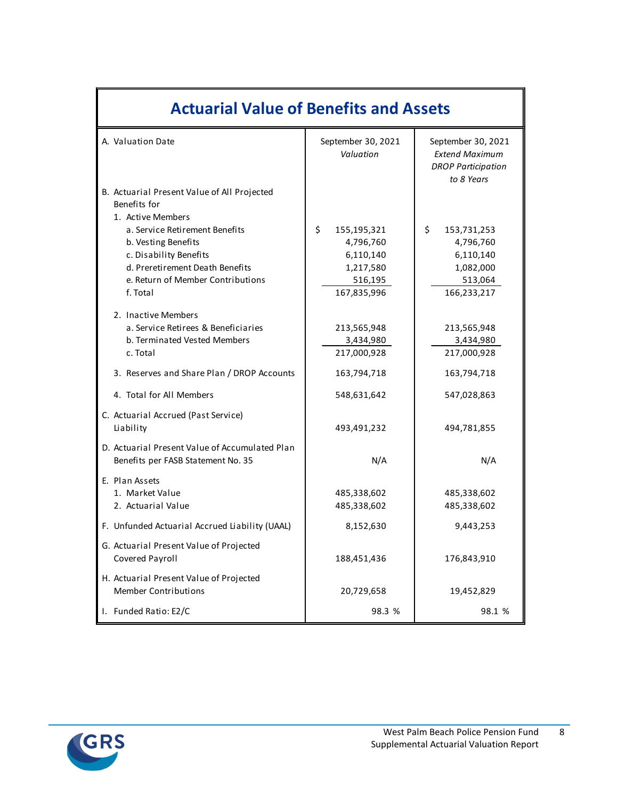| <b>Actuarial Value of Benefits and Assets</b>                                        |                                 |                                                                                        |  |  |
|--------------------------------------------------------------------------------------|---------------------------------|----------------------------------------------------------------------------------------|--|--|
| A. Valuation Date                                                                    | September 30, 2021<br>Valuation | September 30, 2021<br><b>Extend Maximum</b><br><b>DROP Participation</b><br>to 8 Years |  |  |
| B. Actuarial Present Value of All Projected<br>Benefits for                          |                                 |                                                                                        |  |  |
| 1. Active Members                                                                    |                                 |                                                                                        |  |  |
| a. Service Retirement Benefits                                                       | \$<br>155,195,321               | \$.<br>153,731,253                                                                     |  |  |
| b. Vesting Benefits                                                                  | 4,796,760                       | 4,796,760                                                                              |  |  |
| c. Disability Benefits                                                               | 6,110,140                       | 6,110,140                                                                              |  |  |
| d. Preretirement Death Benefits<br>e. Return of Member Contributions                 | 1,217,580                       | 1,082,000                                                                              |  |  |
| f. Total                                                                             | 516,195<br>167,835,996          | 513,064<br>166,233,217                                                                 |  |  |
|                                                                                      |                                 |                                                                                        |  |  |
| 2. Inactive Members                                                                  |                                 |                                                                                        |  |  |
| a. Service Retirees & Beneficiaries                                                  | 213,565,948                     | 213,565,948                                                                            |  |  |
| b. Terminated Vested Members                                                         | 3,434,980                       | 3,434,980                                                                              |  |  |
| c. Total                                                                             | 217,000,928                     | 217,000,928                                                                            |  |  |
| 3. Reserves and Share Plan / DROP Accounts                                           | 163,794,718                     | 163,794,718                                                                            |  |  |
| 4. Total for All Members                                                             | 548,631,642                     | 547,028,863                                                                            |  |  |
| C. Actuarial Accrued (Past Service)<br>Liability                                     | 493,491,232                     | 494,781,855                                                                            |  |  |
| D. Actuarial Present Value of Accumulated Plan<br>Benefits per FASB Statement No. 35 | N/A                             | N/A                                                                                    |  |  |
| E. Plan Assets                                                                       |                                 |                                                                                        |  |  |
| 1. Market Value                                                                      | 485,338,602                     | 485,338,602                                                                            |  |  |
| 2. Actuarial Value                                                                   | 485,338,602                     | 485,338,602                                                                            |  |  |
| F. Unfunded Actuarial Accrued Liability (UAAL)                                       | 8,152,630                       | 9,443,253                                                                              |  |  |
| G. Actuarial Present Value of Projected<br>Covered Payroll                           | 188,451,436                     | 176,843,910                                                                            |  |  |
| H. Actuarial Present Value of Projected<br><b>Member Contributions</b>               | 20,729,658                      | 19,452,829                                                                             |  |  |
| I. Funded Ratio: E2/C                                                                | 98.3 %                          | 98.1 %                                                                                 |  |  |



 $\mathbb{F}$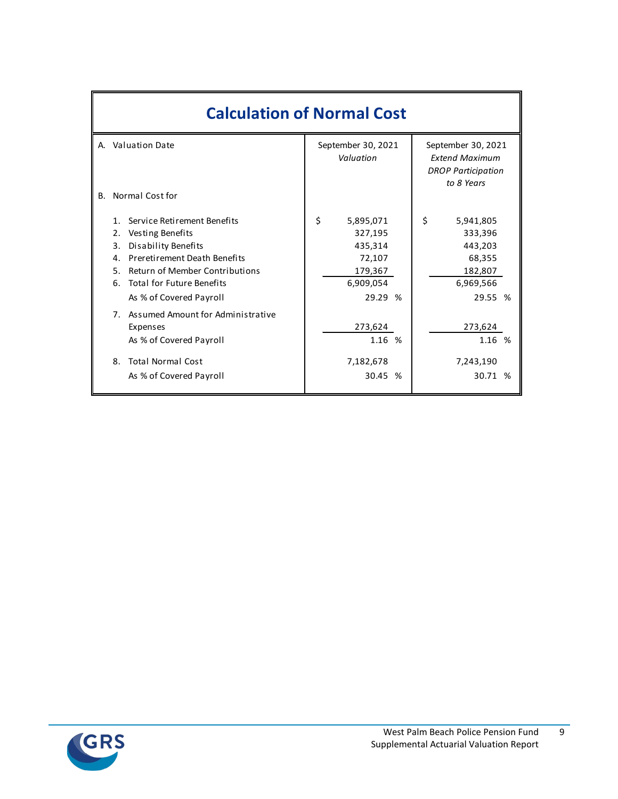|    | <b>Calculation of Normal Cost</b>                                                                                                                                                                                                                        |                                                                                    |                                                                                        |  |  |  |
|----|----------------------------------------------------------------------------------------------------------------------------------------------------------------------------------------------------------------------------------------------------------|------------------------------------------------------------------------------------|----------------------------------------------------------------------------------------|--|--|--|
|    | A. Valuation Date                                                                                                                                                                                                                                        | September 30, 2021<br>Valuation                                                    | September 30, 2021<br><b>Extend Maximum</b><br><b>DROP Participation</b><br>to 8 Years |  |  |  |
| B. | Normal Cost for                                                                                                                                                                                                                                          |                                                                                    |                                                                                        |  |  |  |
|    | Service Retirement Benefits<br>1<br>Vesting Benefits<br>2.<br><b>Disability Benefits</b><br>3.<br>Preretirement Death Benefits<br>4.<br><b>Return of Member Contributions</b><br>5.<br><b>Total for Future Benefits</b><br>6.<br>As % of Covered Payroll | \$<br>5,895,071<br>327,195<br>435,314<br>72,107<br>179,367<br>6,909,054<br>29.29 % | \$<br>5,941,805<br>333,396<br>443,203<br>68,355<br>182,807<br>6,969,566<br>29.55 %     |  |  |  |
|    | 7. Assumed Amount for Administrative<br>Expenses<br>As % of Covered Payroll                                                                                                                                                                              | 273,624<br>1.16 %                                                                  | 273,624<br>1.16 %                                                                      |  |  |  |
|    | <b>Total Normal Cost</b><br>8.<br>As % of Covered Payroll                                                                                                                                                                                                | 7,182,678<br>30.45 %                                                               | 7,243,190<br>30.71 %                                                                   |  |  |  |



9